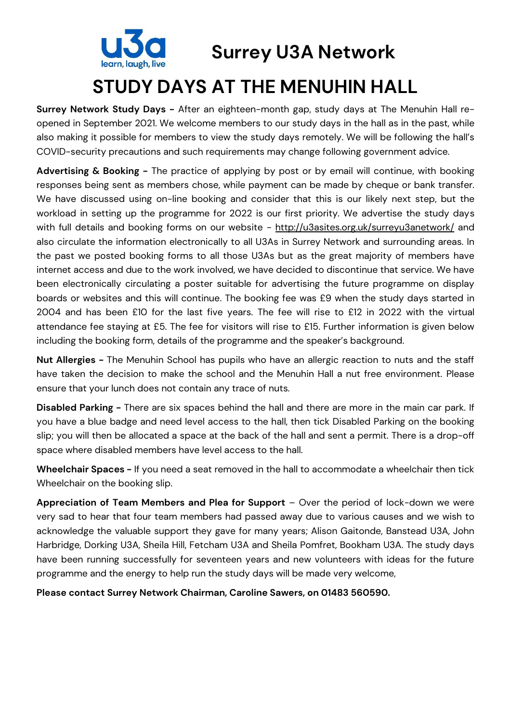

**Surrey U3A Network**

# **STUDY DAYS AT THE MENUHIN HALL**

**Surrey Network Study Days -** After an eighteen-month gap, study days at The Menuhin Hall reopened in September 2021. We welcome members to our study days in the hall as in the past, while also making it possible for members to view the study days remotely. We will be following the hall's COVID-security precautions and such requirements may change following government advice.

**Advertising & Booking -** The practice of applying by post or by email will continue, with booking responses being sent as members chose, while payment can be made by cheque or bank transfer. We have discussed using on-line booking and consider that this is our likely next step, but the workload in setting up the programme for 2022 is our first priority. We advertise the study days with full details and booking forms on our website - http://u3asites.org.uk/surreyu3anetwork/ and also circulate the information electronically to all U3As in Surrey Network and surrounding areas. In the past we posted booking forms to all those U3As but as the great majority of members have internet access and due to the work involved, we have decided to discontinue that service. We have been electronically circulating a poster suitable for advertising the future programme on display boards or websites and this will continue. The booking fee was £9 when the study days started in 2004 and has been £10 for the last five years. The fee will rise to £12 in 2022 with the virtual attendance fee staying at £5. The fee for visitors will rise to £15. Further information is given below including the booking form, details of the programme and the speaker's background.

**Nut Allergies -** The Menuhin School has pupils who have an allergic reaction to nuts and the staff have taken the decision to make the school and the Menuhin Hall a nut free environment. Please ensure that your lunch does not contain any trace of nuts.

**Disabled Parking -** There are six spaces behind the hall and there are more in the main car park. If you have a blue badge and need level access to the hall, then tick Disabled Parking on the booking slip; you will then be allocated a space at the back of the hall and sent a permit. There is a drop-off space where disabled members have level access to the hall.

**Wheelchair Spaces -** If you need a seat removed in the hall to accommodate a wheelchair then tick Wheelchair on the booking slip.

**Appreciation of Team Members and Plea for Support** – Over the period of lock-down we were very sad to hear that four team members had passed away due to various causes and we wish to acknowledge the valuable support they gave for many years; Alison Gaitonde, Banstead U3A, John Harbridge, Dorking U3A, Sheila Hill, Fetcham U3A and Sheila Pomfret, Bookham U3A. The study days have been running successfully for seventeen years and new volunteers with ideas for the future programme and the energy to help run the study days will be made very welcome,

**Please contact Surrey Network Chairman, Caroline Sawers, on 01483 560590.**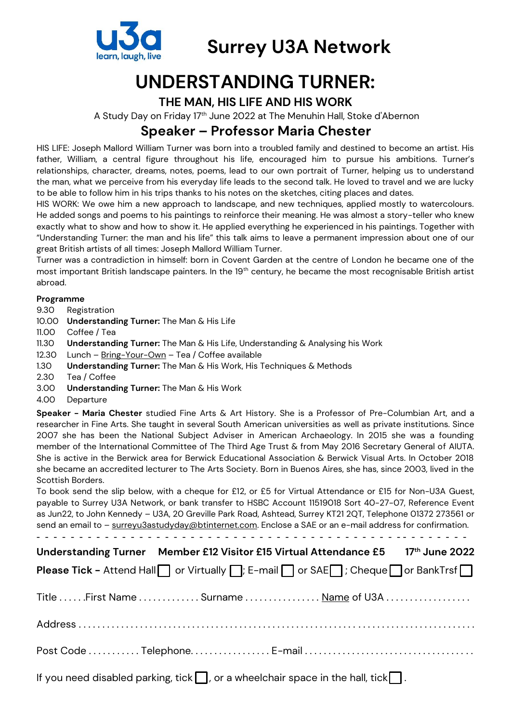

### **Surrey U3A Network**

# **UNDERSTANDING TURNER:**

#### **THE MAN, HIS LIFE AND HIS WORK**

A Study Day on Friday 17th June 2022 at The Menuhin Hall, Stoke d'Abernon

### **Speaker – Professor Maria Chester**

HIS LIFE: Joseph Mallord William Turner was born into a troubled family and destined to become an artist. His father, William, a central figure throughout his life, encouraged him to pursue his ambitions. Turner's relationships, character, dreams, notes, poems, lead to our own portrait of Turner, helping us to understand the man, what we perceive from his everyday life leads to the second talk. He loved to travel and we are lucky to be able to follow him in his trips thanks to his notes on the sketches, citing places and dates.

HIS WORK: We owe him a new approach to landscape, and new techniques, applied mostly to watercolours. He added songs and poems to his paintings to reinforce their meaning. He was almost a story-teller who knew exactly what to show and how to show it. He applied everything he experienced in his paintings. Together with "Understanding Turner: the man and his life" this talk aims to leave a permanent impression about one of our great British artists of all times: Joseph Mallord William Turner.

Turner was a contradiction in himself: born in Covent Garden at the centre of London he became one of the most important British landscape painters. In the 19<sup>th</sup> century, he became the most recognisable British artist abroad.

#### **Programme**

- 9.30 Registration
- 10.00 **Understanding Turner:** The Man & His Life
- 11.00 Coffee / Tea
- 11.30 **Understanding Turner:** The Man & His Life, Understanding & Analysing his Work
- 12.30 Lunch Bring-Your-Own Tea / Coffee available
- 1.30 **Understanding Turner:** The Man & His Work, His Techniques & Methods
- 2.30 Tea / Coffee
- 3.00 **Understanding Turner:** The Man & His Work
- 4.00 Departure

**Speaker - Maria Chester** studied Fine Arts & Art History. She is a Professor of Pre-Columbian Art, and a researcher in Fine Arts. She taught in several South American universities as well as private institutions. Since 2007 she has been the National Subject Adviser in American Archaeology. In 2015 she was a founding member of the International Committee of The Third Age Trust & from May 2016 Secretary General of AIUTA. She is active in the Berwick area for Berwick Educational Association & Berwick Visual Arts. In October 2018 she became an accredited lecturer to The Arts Society. Born in Buenos Aires, she has, since 2003, lived in the Scottish Borders.

To book send the slip below, with a cheque for £12, or £5 for Virtual Attendance or £15 for Non-U3A Guest, payable to Surrey U3A Network, or bank transfer to HSBC Account 11519018 Sort 40-27-07, Reference Event as Jun22, to John Kennedy – U3A, 20 Greville Park Road, Ashtead, Surrey KT21 2QT, Telephone 01372 273561 or send an email to – surreyu3astudyday@btinternet.com. Enclose a SAE or an e-mail address for confirmation.

| Understanding Turner Member £12 Visitor £15 Virtual Attendance £5 17th June 2022                                      |
|-----------------------------------------------------------------------------------------------------------------------|
| <b>Please Tick - Attend Hall</b> or Virtually $\Box$ ; E-mail $\Box$ or SAE $\Box$ ; Cheque $\Box$ or BankTrsf $\Box$ |
| Title  First Name  Surname  Name of U3A                                                                               |
|                                                                                                                       |
|                                                                                                                       |
| If you need disabled parking, tick $\Box$ , or a wheelchair space in the hall, tick $\Box$ .                          |